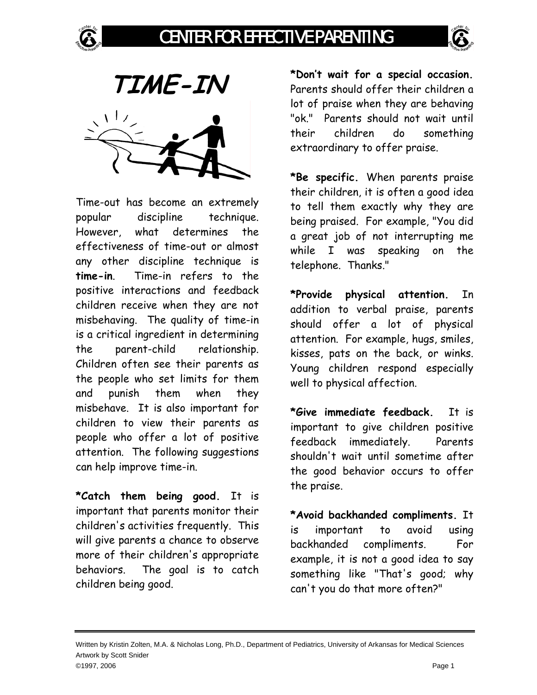



**TIME-IN** 

Time-out has become an extremely popular discipline technique. However, what determines the effectiveness of time-out or almost any other discipline technique is **time-in**. Time-in refers to the positive interactions and feedback children receive when they are not misbehaving. The quality of time-in is a critical ingredient in determining the parent-child relationship. Children often see their parents as the people who set limits for them and punish them when they misbehave. It is also important for children to view their parents as people who offer a lot of positive attention. The following suggestions can help improve time-in.

**\*Catch them being good.** It is important that parents monitor their children's activities frequently. This will give parents a chance to observe more of their children's appropriate behaviors. The goal is to catch children being good.

**\*Don't wait for a special occasion.**  Parents should offer their children a lot of praise when they are behaving "ok." Parents should not wait until their children do something extraordinary to offer praise.

**\*Be specific.** When parents praise their children, it is often a good idea to tell them exactly why they are being praised. For example, "You did a great job of not interrupting me while I was speaking on the telephone. Thanks."

**\*Provide physical attention.** In addition to verbal praise, parents should offer a lot of physical attention. For example, hugs, smiles, kisses, pats on the back, or winks. Young children respond especially well to physical affection.

**\*Give immediate feedback.** It is important to give children positive feedback immediately. Parents shouldn't wait until sometime after the good behavior occurs to offer the praise.

**\*Avoid backhanded compliments.** It is important to avoid using backhanded compliments. For example, it is not a good idea to say something like "That's good; why can't you do that more often?"

Written by Kristin Zolten, M.A. & Nicholas Long, Ph.D., Department of Pediatrics, University of Arkansas for Medical Sciences Artwork by Scott Snider ©1997, 2006 Page 1